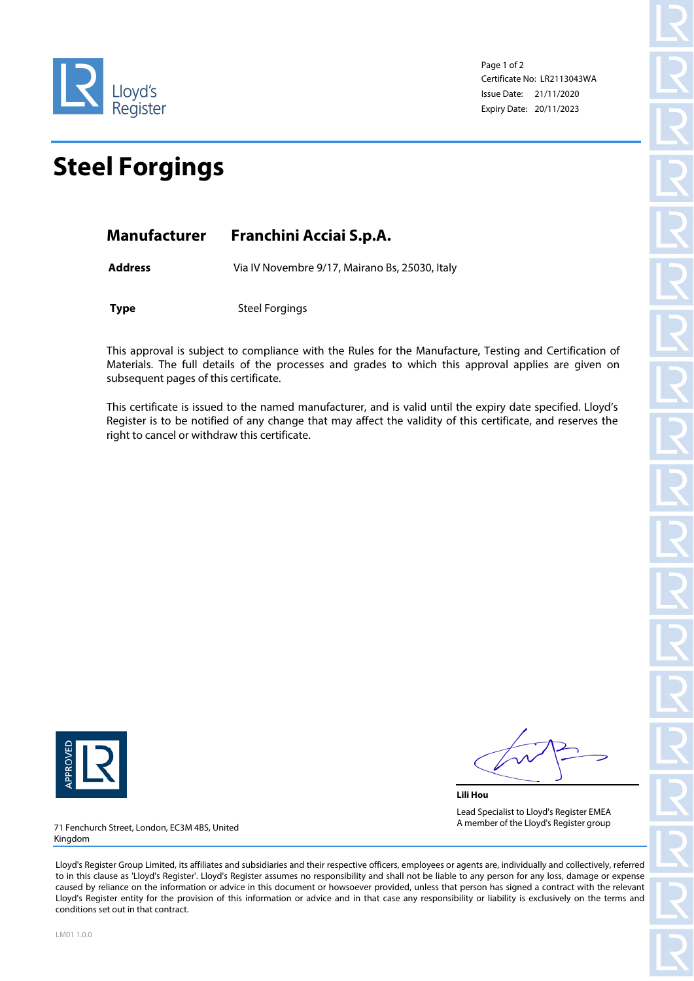

Page 1 of 2 Certificate No: LR2113043WA Issue Date: 21/11/2020 Expiry Date: 20/11/2023

## **Steel Forgings**

| Manufacturer | Franchini Acciai S.p.A. |
|--------------|-------------------------|
|--------------|-------------------------|

**Address** Via IV Novembre 9/17, Mairano Bs, 25030, Italy

**Type** Steel Forgings

This approval is subject to compliance with the Rules for the Manufacture, Testing and Certification of Materials. The full details of the processes and grades to which this approval applies are given on subsequent pages of this certificate.

This certificate is issued to the named manufacturer, and is valid until the expiry date specified. Lloyd's Register is to be notified of any change that may affect the validity of this certificate, and reserves the right to cancel or withdraw this certificate.



**Lili Hou** Lead Specialist to Lloyd's Register EMEA A member of the Lloyd's Register group

71 Fenchurch Street, London, EC3M 4BS, United Kingdom

Lloyd's Register Group Limited, its affiliates and subsidiaries and their respective officers, employees or agents are, individually and collectively, referred to in this clause as 'Lloyd's Register'. Lloyd's Register assumes no responsibility and shall not be liable to any person for any loss, damage or expense caused by reliance on the information or advice in this document or howsoever provided, unless that person has signed a contract with the relevant Lloyd's Register entity for the provision of this information or advice and in that case any responsibility or liability is exclusively on the terms and conditions set out in that contract.